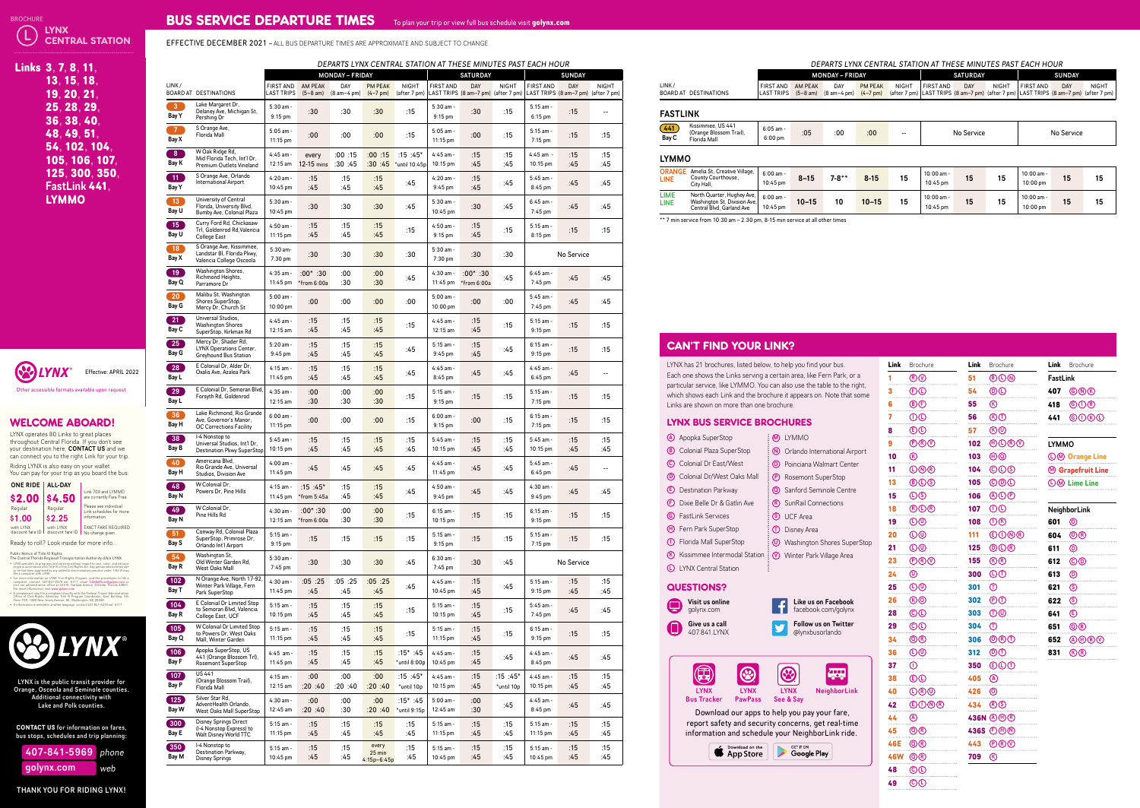| <u>Links 3, 7, 8, 11,</u> |
|---------------------------|
| 13, 15, 18,               |
| 19, 20, 21,               |
| 25.28.29.                 |
| 36.38.40.                 |
| 48.49.51.                 |
| 54.102.104.               |
| 105, 106, 107,            |
| 125, 300, 350,            |
| FastLink 441.             |
| LYMMO                     |
|                           |

| 407-841-5969 phone |     |
|--------------------|-----|
| golynx.comˈ        | web |

## WELCOME ABOARD!





| A Apopka SuperStop |  |
|--------------------|--|
|--------------------|--|

- **B** Colonial Plaza SuperStop
- **C** Colonial Dr East/West
- **D** Colonial Dr/West Oaks Mall
- E Destination Parkway
- **F** Dixie Belle Dr & Gatlin Ave
- **G** FastLink Services
- **H** Fern Park SuperStop
- **ID** Florida Mall SuperStop
- $\rm K$  Kissimmee Intermodal Station  $\rm \frac{1}{2}$  Winter Park Village Area
- **C** LYNX Central Station

#### LYNX BUS SERVICE BROCHURES

### CAN'T FIND YOUR LINK?

#### QUESTIONS?

| Visit us online<br>qolynx.com |
|-------------------------------|
| Give us a call                |

| Give us a call |
|----------------|
| 407.841.IYNX   |
|                |



| Link                       | Brochure                                          | Link       | Brochure                                      |
|----------------------------|---------------------------------------------------|------------|-----------------------------------------------|
| 1                          | $\circledR\circledS$                              | 51         | $\circledcirc$                                |
| 3                          | <b>O</b><br>.                                     | 54         | $\circledcirc$                                |
| 6                          | <b>®</b><br>.                                     | 55         | $\circledR$                                   |
| $\overline{\mathbf{7}}$    | $\circledR$<br>.                                  | 56         | <b>E</b>                                      |
| 8                          | <b>ED</b><br>.                                    | 57         | $\circledR\circledD$                          |
| 9                          | $\circledcirc$                                    | 102        | $\oplus\mathbb{O} \circledcirc\mathbb{O}$     |
| 10                         | $^{\circledR}$                                    | 103        | $\textcircled{\tiny{\textcircled{\tiny{1}}}}$ |
| 11                         | <b>ONR</b>                                        | 104        | $\copyright$                                  |
| 13                         | $\circledcirc$                                    | 105        | $\copyright$                                  |
| 15                         | $\mathbb{O}$<br>.                                 | 106        | @@@                                           |
| 18                         | <b>OO®</b><br>.                                   | 107        | $\mathbb{O} \mathbb{O}$                       |
| 19                         | $\overline{\mathbb{O} \mathbb{O}}$                | 108        | $\mathbb{O} \circledR$                        |
| <b>20</b>                  | $\overline{\mathbb{O}}\overline{\mathbb{O}}$      | <b>111</b> | <b>©O®®</b>                                   |
| 21                         | $\overline{\mathbb{O}}\overline{\mathbb{O}}$<br>. | 125        | $\textcircled{\tiny{\textcircled{\tiny{R}}}}$ |
| 23                         | $\bigcircled{\mathbb{R}}\circled{\mathbb{Q}}$     | 155        | <b>E</b>                                      |
| 24                         | $\circledcirc$                                    | 300        | $\mathbb{O} \mathbb{O}$                       |
| 25                         | $\overline{\mathbb{O}}\overline{\mathbb{O}}$<br>. | 301        | $\bigoplus$                                   |
| 26                         | $\circledR$                                       | 302        | $\circledcirc$                                |
| 28                         | ©O                                                | 303        | $\textcircled{r}$                             |
| 29                         | $\copyright$<br>.                                 | 304        | $\bigcirc$                                    |
| 34                         | @@                                                |            | 306 <b>ORD</b>                                |
|                            | 36 <b>O</b> <sup><sup>o</sup></sup>               |            | 312 $\circledcirc$                            |
|                            | 37 $\circledcirc$<br>.                            |            | 350 © © ① ①                                   |
|                            | 38 © ①<br>.                                       | $405$ (A)  | .                                             |
|                            | 40 <b>O</b> ® <sup>O</sup>                        |            | $426$ <sup>o</sup><br>.                       |
|                            | 42 © 0 ® ®                                        |            | 434 RS                                        |
| $44 \quad \textcircled{A}$ |                                                   |            | 436N AHR                                      |
|                            | 45 <b>Q</b> <sup>®</sup><br>.                     |            | 436S <b>D</b> O                               |
|                            | 46E <b>Q</b> <sup>®</sup><br>.                    |            | 443 <b>DR</b> V                               |
|                            | 46W <b>Q</b> <sup>®</sup><br>.                    | 709        | $^{\circledR}$                                |
| 48                         | <b>OD</b><br>.                                    |            |                                               |
| 49                         | $\circledcirc$                                    |            |                                               |

|                 | <b>Link</b> Brochure                        |
|-----------------|---------------------------------------------|
| <b>FastLink</b> |                                             |
|                 | 407 GNO                                     |
| 418             | $\bigcirc$ $\bigcirc$ $\bigcirc$ $\bigcirc$ |
|                 | 441 © O (R O                                |
|                 |                                             |

#### LYMMO

DM Orange Line M **Grapefruit Line** M **CO** Lime Line

|     | NeighborLink                   |
|-----|--------------------------------|
| 601 | ത                              |
| 604 | <b>ⓒඹ</b>                      |
| 611 | டு                             |
| 612 | ©®                             |
| 613 | டு                             |
| 621 | (S)                            |
| 622 | (S)                            |
| 641 | E)                             |
| 651 | $\textcircled{\scriptsize{R}}$ |
| 652 | @@@@                           |
| 831 | (K)<br>(R)                     |

 $(L)$  LYNX  $\mathcal{Y}$  central station **BROCHURE Other accessible formats available** 

# BUS SERVICE DEPARTURE TIMES To plan your trip or view full bus schedule visit **golynx.com**



EFFECTIVE DECEMBER 2021 – ALL BUS DEPARTURE TIMES ARE APPROXIMATE AND SUBJECT TO CHANGE





| Links 3, 7, 8, 11,                                                                                                                                                                                                                                                                                                                                                                                                                                                                                                                                                                                                                                                                                                                                                                                                                                                                                                                                                                                                                                                                                                                                                                                                                                                                                                                                                                                                                                                                                                                                                                                                                                                                                                                                                                                                                                                                                                                                                                                                                                      |                                    |                                                                                          |                                     |                                     | DEPARTS LYNX CENTRAL STATION AT THESE MINUTES PAST EACH HOUR<br><b>MONDAY - FRIDAY</b> |                                 |                                    |                                    | <b>SATURDAY</b> |                                            |                                                  | <b>SUNDAY</b> |                          | DEPARTS LYNX CENTRAL STATION AT THESE MINUTES PAST EACH HOUR<br><b>MONDAY - FRIDAY</b>                                                                                                                               |                                                                | <b>SATURDAY</b>                                                                  | <b>SU</b>              |
|---------------------------------------------------------------------------------------------------------------------------------------------------------------------------------------------------------------------------------------------------------------------------------------------------------------------------------------------------------------------------------------------------------------------------------------------------------------------------------------------------------------------------------------------------------------------------------------------------------------------------------------------------------------------------------------------------------------------------------------------------------------------------------------------------------------------------------------------------------------------------------------------------------------------------------------------------------------------------------------------------------------------------------------------------------------------------------------------------------------------------------------------------------------------------------------------------------------------------------------------------------------------------------------------------------------------------------------------------------------------------------------------------------------------------------------------------------------------------------------------------------------------------------------------------------------------------------------------------------------------------------------------------------------------------------------------------------------------------------------------------------------------------------------------------------------------------------------------------------------------------------------------------------------------------------------------------------------------------------------------------------------------------------------------------------|------------------------------------|------------------------------------------------------------------------------------------|-------------------------------------|-------------------------------------|----------------------------------------------------------------------------------------|---------------------------------|------------------------------------|------------------------------------|-----------------|--------------------------------------------|--------------------------------------------------|---------------|--------------------------|----------------------------------------------------------------------------------------------------------------------------------------------------------------------------------------------------------------------|----------------------------------------------------------------|----------------------------------------------------------------------------------|------------------------|
|                                                                                                                                                                                                                                                                                                                                                                                                                                                                                                                                                                                                                                                                                                                                                                                                                                                                                                                                                                                                                                                                                                                                                                                                                                                                                                                                                                                                                                                                                                                                                                                                                                                                                                                                                                                                                                                                                                                                                                                                                                                         | LINK/                              |                                                                                          |                                     | FIRST AND AM PEAK                   | DAY                                                                                    | <b>PM PEAK</b>                  | <b>NIGHT</b>                       | <b>FIRST AND</b>                   | DAY             | <b>NIGHT</b>                               | FIRST AND                                        | <b>DAY</b>    | NIGHT                    | LINK/<br>FIRST AND AM PEAK<br><b>PM PEAK</b><br>DAY                                                                                                                                                                  | FIRST AND<br>NIGHT                                             | DAY<br>NIGHT                                                                     | FIRST AND              |
| 13, 15, 18,<br>19, 20, 21,<br>25, 28, 29,<br>36, 38, 40,<br>48, 49, 51,<br>54, 102, 104,<br>105, 106, 107,<br>125, 300, 350,<br><b>FastLink 441</b><br><b>LYMMO</b><br>Effective: APRIL 2022<br>Other accessible formats available upon request<br><b>WELCOME ABOARD!</b><br>LYNX operates 80 Links to great places<br>throughout Central Florida. If you don't see<br>your destination here, CONTACT US and we<br>can connect you to the right Link for your trip.<br>Riding LYNX is also easy on your wallet<br>You can pay for your trip as you board the bus:<br>ONE RIDE   ALL-DAY<br>Link 709 and LYMMO<br>are currently Fare Free<br>\$2.00<br>\$4.50<br>Please see individual<br>Regular<br>Regular<br>Link schedules for more<br>\$2.25<br>information.<br>\$1.00<br>with LYNX<br><b>EXACT FARE REQUIRED</b><br>with LYNX<br>discount fare ID   discount fare ID   No change given.<br>Ready to roll? Look inside for more info<br><b>Public Notice of Title VI Rights</b><br>The Central Florida Regional Transportation Authority d/b/a LYNX:<br>• LYNX operates its programs and services without regard to race, color, and national<br>origin in accordance with Title VI of the Civil Rights Act. Any person who believes she<br>or he has been aggrieved by any unlawful discriminatory practice under Title VI may<br>file a complaint with LYNX.<br>• For more information on LYNX' Civil Rights Program, and the procedures to file a<br>complaint, contact, 407-841-2279 ext. 6117, email Title6officer@golynx.com or<br>visit our administrative office at 455 N. Garland Avenue, Orlando, Florida 32801<br>For more information, visit www.golvnx.con<br>• A complainant may file a complaint directly with the Federal Transit Administration<br>Office of Civil Rights, Attention Title VI Program Coordinator, East Building, 5th<br>Floor-TCR, 1200 New Jersey Avenue, SE, Washington, DC 20590<br>. If information is needed in another language, contact 407-841-2279 ext. 6117.<br><b>INTERNATIONAL</b><br><b>YYY LYNX</b> |                                    | <b>BOARD AT DESTINATIONS</b><br>Lake Margaret Dr.<br>Delaney Ave, Michigan St            | <b>LAST TRIPS</b><br>5:30 am -      | $(5-8)$ am)<br>:30                  | $(8 am-4 pm)$<br>:30                                                                   | $(4 - 7)$ pm)<br>:30            | (after 7 pm)<br>:15                | 5:30 am -                          | :30             | LAST TRIPS (8 am-7 pm) (after 7 pm)<br>:15 | LAST TRIPS (8 am-7 pm) (after 7 pm)<br>$5:15$ am | :15           | $\overline{\phantom{m}}$ | <b>LAST TRIPS</b><br>$(5-8 \text{ am})$ $(8 \text{ am}-4 \text{ pm})$ $(4-7 \text{ pm})$<br>BOARD AT DESTINATIONS<br><b>FASTLINK</b>                                                                                 |                                                                | $\frac{1}{2}$ (after 7 pm) LAST TRIPS (8 am–7 pm) (after 7 pm) LAST TRIPS (8 are |                        |
|                                                                                                                                                                                                                                                                                                                                                                                                                                                                                                                                                                                                                                                                                                                                                                                                                                                                                                                                                                                                                                                                                                                                                                                                                                                                                                                                                                                                                                                                                                                                                                                                                                                                                                                                                                                                                                                                                                                                                                                                                                                         | Bay Y<br>Bay X                     | Pershing Dr<br>S Orange Ave.<br>Florida Mall                                             | $9:15$ pm<br>5:05 am -<br>11:15 pm  | :00                                 | :00                                                                                    | :00                             | :15                                | $9:15$ pm<br>$5:05$ am<br>11:15 pm | :00             | :15                                        | $6:15$ pm<br>$5:15$ am<br>7:15 pm                | :15           | :15                      | Kissimmee, US 441<br>(441)<br>6:05 am -<br>(Orange Blossom Trail),<br>:05<br>:00<br>:00<br>Bay C<br>$6:00 \text{ pm}$<br>Florida Mall                                                                                | $\overline{\phantom{a}}$                                       | No Service                                                                       | No                     |
|                                                                                                                                                                                                                                                                                                                                                                                                                                                                                                                                                                                                                                                                                                                                                                                                                                                                                                                                                                                                                                                                                                                                                                                                                                                                                                                                                                                                                                                                                                                                                                                                                                                                                                                                                                                                                                                                                                                                                                                                                                                         | 8 <sup>2</sup><br>Bay K            | W Oak Ridge Rd,<br>Mid Florida Tech, Int'l Dr,<br>Premium Outlets Vineland               | $4:45$ am -                         | every<br>12:15 am $12 - 15$ mins    | :00:15<br>:30:45                                                                       | :00:15                          | :15 :45*<br>$:30:45$ *until 10:45p | $4:45$ am<br>$10:15 \text{ pm}$    | :15<br>:45      | :15<br>:45                                 | $4:45$ am<br>$10:15 \text{ pm}$                  | :15<br>:45    | :15<br>:45               | <b>LYMMO</b>                                                                                                                                                                                                         |                                                                |                                                                                  |                        |
|                                                                                                                                                                                                                                                                                                                                                                                                                                                                                                                                                                                                                                                                                                                                                                                                                                                                                                                                                                                                                                                                                                                                                                                                                                                                                                                                                                                                                                                                                                                                                                                                                                                                                                                                                                                                                                                                                                                                                                                                                                                         | $-11$                              | S Orange Ave, Orlando<br><b>International Airport</b>                                    | 4:20 am -                           | :15                                 | :15                                                                                    | :15                             | :45                                | $4:20$ am -                        | :15             | :45                                        | 5:45 am $\cdot$                                  | :45           | :45                      | Amelia St, Creative Village,<br><b>ORANGE</b><br>$6:00$ am<br>$7 - 8$ **<br>$8 - 15$<br>$8 - 15$<br>County Courthouse,<br><b>LINE</b><br>10:45 pm<br>City Hall,                                                      | 10:00 am -<br>15<br>10:45 pm                                   | 15<br>15                                                                         | 10:00 am -<br>10:00 pm |
|                                                                                                                                                                                                                                                                                                                                                                                                                                                                                                                                                                                                                                                                                                                                                                                                                                                                                                                                                                                                                                                                                                                                                                                                                                                                                                                                                                                                                                                                                                                                                                                                                                                                                                                                                                                                                                                                                                                                                                                                                                                         | Bay Y<br>13<br>Bay U               | University of Central<br>Florida, University Blvd,<br>Bumby Ave, Colonial Plaza          | $10:45$ pm<br>5:30 am -<br>10:45 pm | :45<br>:30                          | :45<br>:30                                                                             | :45<br>:30                      | :45                                | 9:45 pm<br>5:30 am -<br>10:45 pm   | :45<br>:30      | :45                                        | 8:45 pm<br>$6:45$ am $\cdot$<br>7:45 pm          | :45           | :45                      | <b>LIME</b><br>North Quarter, Hughey Ave,<br>$6:00$ am<br>Washington St, Division Ave,<br>$10 - 15$<br>$10 - 15$<br><b>LINE</b><br>10<br>10:45 pm<br>Central Blvd, Garland Ave                                       | 10:00 am -<br>15<br>10:45 pm                                   | 15<br>15                                                                         | 10:00 am ·<br>10:00 pm |
|                                                                                                                                                                                                                                                                                                                                                                                                                                                                                                                                                                                                                                                                                                                                                                                                                                                                                                                                                                                                                                                                                                                                                                                                                                                                                                                                                                                                                                                                                                                                                                                                                                                                                                                                                                                                                                                                                                                                                                                                                                                         | $\frac{1}{2}$ 15<br>Bay U          | Curry Ford Rd, Chickasaw<br>Trl, Goldenrod Rd, Valencia<br><b>College East</b>           | 4:50 am -<br>11:15 $pm$             | :15<br>:45                          | :15<br>:45                                                                             | :15<br>:45                      | :15                                | 4:50 am -<br>$9:15$ pm             | :15<br>:45      | :15                                        | $5:15$ am<br>8:15 pm                             | :15           | :15                      | ** 7 min service from 10:30 am - 2.30 pm, 8-15 min service at all other times                                                                                                                                        |                                                                |                                                                                  |                        |
|                                                                                                                                                                                                                                                                                                                                                                                                                                                                                                                                                                                                                                                                                                                                                                                                                                                                                                                                                                                                                                                                                                                                                                                                                                                                                                                                                                                                                                                                                                                                                                                                                                                                                                                                                                                                                                                                                                                                                                                                                                                         | Bay X                              | S Orange Ave, Kissimmee,<br>Landstar BI, Florida Pkwy,<br>Valencia College Osceola       | 5:30 am-<br>7:30 pm                 | :30                                 | :30                                                                                    | :30                             | :30                                | $5:30$ am<br>7:30 pm               | :30             | :30                                        |                                                  | No Service    |                          |                                                                                                                                                                                                                      |                                                                |                                                                                  |                        |
|                                                                                                                                                                                                                                                                                                                                                                                                                                                                                                                                                                                                                                                                                                                                                                                                                                                                                                                                                                                                                                                                                                                                                                                                                                                                                                                                                                                                                                                                                                                                                                                                                                                                                                                                                                                                                                                                                                                                                                                                                                                         | $^{+}$ 19<br>Bay Q                 | Washington Shores,<br>Richmond Heights,<br>Parramore Dr                                  | 4:35 am -                           | $:00^* :30$<br>11:45 pm *from 6:00a | :00<br>:30                                                                             | :00<br>:30                      | :45                                | 4:30 am -<br>11:45 pm *from 6:00a  | $:00^* :30$     | :45                                        | $6:45$ am $\cdot$<br>7:45 pm                     | :45           | :45                      |                                                                                                                                                                                                                      |                                                                |                                                                                  |                        |
|                                                                                                                                                                                                                                                                                                                                                                                                                                                                                                                                                                                                                                                                                                                                                                                                                                                                                                                                                                                                                                                                                                                                                                                                                                                                                                                                                                                                                                                                                                                                                                                                                                                                                                                                                                                                                                                                                                                                                                                                                                                         | 20<br>Bay G                        | Malibu St, Washington<br>Shores SuperStop,<br>Mercy Dr, Church St                        | 5:00 am -<br>10:00 pm               | :00                                 | :00                                                                                    | :00                             | :00                                | 5:00 am -<br>10:00 pm              | :00             | :00                                        | $5:45$ am $\cdot$<br>7:45 pm                     | :45           | :45                      |                                                                                                                                                                                                                      |                                                                |                                                                                  |                        |
|                                                                                                                                                                                                                                                                                                                                                                                                                                                                                                                                                                                                                                                                                                                                                                                                                                                                                                                                                                                                                                                                                                                                                                                                                                                                                                                                                                                                                                                                                                                                                                                                                                                                                                                                                                                                                                                                                                                                                                                                                                                         | 21<br>Bay C                        | Universal Studios,<br><b>Washington Shores</b><br>SuperStop, Kirkman Rd                  | 4:45 am -<br>12:15 am               | :15<br>:45                          | :15<br>:45                                                                             | :15<br>:45                      | :15                                | $4:45$ am -<br>$12:15$ am          | :15<br>:45      | :15                                        | $5:15$ am<br>$9:15$ pm                           | :15           | :15                      |                                                                                                                                                                                                                      |                                                                |                                                                                  |                        |
|                                                                                                                                                                                                                                                                                                                                                                                                                                                                                                                                                                                                                                                                                                                                                                                                                                                                                                                                                                                                                                                                                                                                                                                                                                                                                                                                                                                                                                                                                                                                                                                                                                                                                                                                                                                                                                                                                                                                                                                                                                                         | 25<br><b>Bay G</b>                 | Mercy Dr, Shader Rd,<br>LYNX Operations Center,<br><b>Greyhound Bus Station</b>          | $5:20$ am -<br>9:45 pm              | :45                                 | :15<br>:45                                                                             | :15<br>:45                      | :45                                | 5:15 am -<br>$9:45$ pm             | :15<br>:45      | :45                                        | $6:15$ am -<br>9:15 pm                           | :15           | :15                      | <b>CAN'T FIND YOUR LINK?</b>                                                                                                                                                                                         |                                                                |                                                                                  |                        |
|                                                                                                                                                                                                                                                                                                                                                                                                                                                                                                                                                                                                                                                                                                                                                                                                                                                                                                                                                                                                                                                                                                                                                                                                                                                                                                                                                                                                                                                                                                                                                                                                                                                                                                                                                                                                                                                                                                                                                                                                                                                         | 28<br>Bay L                        | E Colonial Dr, Alder Dr,<br>Oxalis Ave, Azalea Park                                      | 4:15 am -<br>$11:45 \text{ pm}$     | :15<br>:45                          | :15<br>:45                                                                             | :15<br>:45                      | :45                                | $4:45$ am -<br>8:45 pm             | :45             | :45                                        | 4:45 am $\cdot$<br>$6:45$ pm                     | :45           | $\overline{\phantom{a}}$ | LYNX has 21 brochures, listed below, to help you find your bus.<br>Each one shows the Links serving a certain area, like Fern Park, or a<br>particular service, like LYMMO. You can also use the table to the right, | <b>Link</b> Brochure<br><b>®</b>                               | <b>Link</b> Brochure<br>$\circledR$<br>51                                        | Link<br>Fast           |
|                                                                                                                                                                                                                                                                                                                                                                                                                                                                                                                                                                                                                                                                                                                                                                                                                                                                                                                                                                                                                                                                                                                                                                                                                                                                                                                                                                                                                                                                                                                                                                                                                                                                                                                                                                                                                                                                                                                                                                                                                                                         | 29<br>Bay L                        | E Colonial Dr, Semoran Blvd,<br>Forsyth Rd, Goldenrod                                    | 4:35 am -<br>$12:15$ am             | :00<br>:30                          | :00<br>:30                                                                             | :00<br>:30                      | :15                                | 5:15 am<br>$9:15$ pm               | :15             | :15                                        | $5:15$ am<br>7:15 pm                             | :15           | :15                      | which shows each Link and the brochure it appears on. Note that some<br>Links are shown on more than one brochure.                                                                                                   | <b>EC</b><br><b>BE</b>                                         | $\circledcirc$<br>54<br>$\odot$<br>55                                            | 407<br>418             |
|                                                                                                                                                                                                                                                                                                                                                                                                                                                                                                                                                                                                                                                                                                                                                                                                                                                                                                                                                                                                                                                                                                                                                                                                                                                                                                                                                                                                                                                                                                                                                                                                                                                                                                                                                                                                                                                                                                                                                                                                                                                         | Bay H                              | Lake Richmond, Rio Grande<br>Ave, Governor's Manor,<br><b>OC Corrections Facility</b>    | 6:00 am -<br>11:15 pm               | :00                                 | :00                                                                                    | :00                             | :15                                | $6:00$ am -<br>$9:15$ pm           | :00             | :15                                        | $6:15$ am<br>7:15 pm                             | :15           | :15                      | <b>LYNX BUS SERVICE BROCHURES</b>                                                                                                                                                                                    | 00<br><b>E</b> O                                               | $\circledR$<br>56<br>$\circledR$<br>57                                           | 441<br>.               |
|                                                                                                                                                                                                                                                                                                                                                                                                                                                                                                                                                                                                                                                                                                                                                                                                                                                                                                                                                                                                                                                                                                                                                                                                                                                                                                                                                                                                                                                                                                                                                                                                                                                                                                                                                                                                                                                                                                                                                                                                                                                         | $^{\degree}$ 38<br><b>Bay B</b>    | I-4 Nonstop to<br>Universal Studios, Int'l Dr,<br><b>Destination Pkwy SuperStop</b>      | $5:45$ am -<br>10:15 pm             | :15<br>:45                          | :15<br>:45                                                                             | :15<br>:45                      | :15<br>:45                         | 5:45 am -<br>10:15 pm              | :15<br>:45      | :15<br>:45                                 | $5:45$ am $\cdot$<br>10:15 pm                    | :15<br>:45    | :15<br>:45               | M LYMMO<br>4 Apopka SuperStop<br><b>B</b> Colonial Plaza SuperStop<br>$\mathbf{R}$ Orlando International Airport                                                                                                     | $\circledR$<br>$\circledR$<br>10 <sub>1</sub>                  | $\bigoplus\bigoplus\mathbb{Q}$<br>102<br>103 H <sub>(0</sub> )                   | <b>LYM</b><br><b>D</b> |
|                                                                                                                                                                                                                                                                                                                                                                                                                                                                                                                                                                                                                                                                                                                                                                                                                                                                                                                                                                                                                                                                                                                                                                                                                                                                                                                                                                                                                                                                                                                                                                                                                                                                                                                                                                                                                                                                                                                                                                                                                                                         | Bay H                              | Americana Blvd,<br>Rio Grande Ave, Universa<br>Studios, Division Ave                     | 4:00 am -<br>$11:45 \text{ pm}$     | :45                                 | :45                                                                                    | :45                             | :45                                | $4:45$ am -<br>$11:45 \text{ pm}$  | :45             | :45                                        | $5:45$ am $\cdot$<br>$6:45$ pm                   | :45           | $\overline{\phantom{m}}$ | C Colonial Dr East/West<br>O Poinciana Walmart Center<br><b>D</b> Colonial Dr/West Oaks Mall<br><b>P</b> Rosemont SuperStop                                                                                          | <b>OO®</b><br>11                                               | $\copyright$<br>104                                                              | $\circledR$            |
|                                                                                                                                                                                                                                                                                                                                                                                                                                                                                                                                                                                                                                                                                                                                                                                                                                                                                                                                                                                                                                                                                                                                                                                                                                                                                                                                                                                                                                                                                                                                                                                                                                                                                                                                                                                                                                                                                                                                                                                                                                                         | 48<br>Bay N                        | W Colonial Dr,<br>Powers Dr, Pine Hills                                                  | $4:15$ am -<br>$11:45 \text{ pm}$   | :15 :45 $*$<br>*from 5:45a          | :45                                                                                    | :15<br>:45                      | :45                                | $4:50$ am<br>9:45 pm               | :45             | :45                                        | 4:30 am $\cdot$<br>$9:45$ pm                     | :45           | :45                      | <b>E</b> Destination Parkway<br><b>Q</b> Sanford Seminole Centre<br><b>F</b> Dixie Belle Dr & Gatlin Ave<br>R SunRail Connections                                                                                    | <b>BDS</b><br>13<br>$\overline{\mathbb{O}}$<br>15 <sub>1</sub> | $\circledcirc$<br>105<br>106 AO <sup>O</sup>                                     | <b>D</b>               |
|                                                                                                                                                                                                                                                                                                                                                                                                                                                                                                                                                                                                                                                                                                                                                                                                                                                                                                                                                                                                                                                                                                                                                                                                                                                                                                                                                                                                                                                                                                                                                                                                                                                                                                                                                                                                                                                                                                                                                                                                                                                         | 49<br>Bay N                        | W Colonial Dr.<br>Pine Hills Rd                                                          | 4:30 am -<br>12:15 am               | $:00^* :30$<br>*from 6:00a          | :30                                                                                    | :00<br>:30                      | :15                                | $6:15$ am<br>$10:15 \text{ pm}$    | :15             | :15                                        | $6:15$ am<br>$9:15$ pm                           | :15           | :15                      | <b>6</b> FastLink Services<br>S UCF Area                                                                                                                                                                             | <b>BO®</b><br>$\odot$                                          | $\circledR$<br>107<br>$\mathbb{O} \mathbb{O}$<br>108                             | <b>Neig</b><br>601     |
|                                                                                                                                                                                                                                                                                                                                                                                                                                                                                                                                                                                                                                                                                                                                                                                                                                                                                                                                                                                                                                                                                                                                                                                                                                                                                                                                                                                                                                                                                                                                                                                                                                                                                                                                                                                                                                                                                                                                                                                                                                                         | Bay S                              | Conway Rd, Colonial Plaza<br>SuperStop, Primrose Dr,<br>Orlando Int'l Airport            | 5:15 am -<br>$9:15$ pm              | :15                                 | :15                                                                                    | :15                             | :15                                | 5:15 am<br>$9:15$ pm               | :15             | :15                                        | $5:15$ am<br>7:15 pm                             | :15           | :15                      | <b>H</b> Fern Park SuperStop<br>$\circ$ Disney Area<br><b>1</b> Florida Mall SuperStop<br>$\mathbf{Q}$ Washington Shores SuperStop                                                                                   | $\odot$<br>20<br>$\odot$                                       | <b>CONR</b><br>111<br>125 <b>DOR</b>                                             | 604<br>611             |
|                                                                                                                                                                                                                                                                                                                                                                                                                                                                                                                                                                                                                                                                                                                                                                                                                                                                                                                                                                                                                                                                                                                                                                                                                                                                                                                                                                                                                                                                                                                                                                                                                                                                                                                                                                                                                                                                                                                                                                                                                                                         | 54<br><b>Bay R</b>                 | Washington St,<br>Old Winter Garden Rd,<br>West Oaks Mall                                | 5:30 am -<br>7:45 pm                | :30                                 | :30                                                                                    | :30                             | :45                                | $6:30$ am<br>7:45 pm               | :30             | :45                                        |                                                  | No Service    |                          | K Kissimmee Intermodal Station : V Winter Park Village Area<br><b>C</b> LYNX Central Station                                                                                                                         | $\circledR$<br>23<br>$\circledcirc$<br>24                      | 155 (R)<br>300 <b>O</b> <sup>O</sup>                                             | 612<br>613             |
|                                                                                                                                                                                                                                                                                                                                                                                                                                                                                                                                                                                                                                                                                                                                                                                                                                                                                                                                                                                                                                                                                                                                                                                                                                                                                                                                                                                                                                                                                                                                                                                                                                                                                                                                                                                                                                                                                                                                                                                                                                                         | $102$<br>Bay T                     | N Orange Ave, North 17-92,<br>Winter Park Village, Fern<br>Park SuperStop                | 4:30 am -<br>11:45 pm               | :05:25<br>:45                       | :05<br>:45                                                                             | :05:25<br>:45                   | :45                                | $4:45$ am -<br>10:45 pm            | :15<br>:45      | :45                                        | $5:15$ am<br>9:15 pm                             | :15<br>:45    | :15<br>:45               | <b>QUESTIONS?</b>                                                                                                                                                                                                    | $\odot$<br>25                                                  | $301$ ①                                                                          | 621<br>.               |
|                                                                                                                                                                                                                                                                                                                                                                                                                                                                                                                                                                                                                                                                                                                                                                                                                                                                                                                                                                                                                                                                                                                                                                                                                                                                                                                                                                                                                                                                                                                                                                                                                                                                                                                                                                                                                                                                                                                                                                                                                                                         | 104<br><b>Bay R</b>                | E Colonial Dr Limited Stop<br>to Semoran Blvd, Valencia<br>College East, UCF             | 5:15 am -<br>10:15 pm               | :15<br>:45                          | :45                                                                                    | :15<br>:45                      | :15                                | 5:15 am -<br>10:15 pm              | :15<br>:45      | :15                                        | $5:45$ am $\cdot$<br>7:45 pm                     | :45           | :45                      | Visit us online<br>Like us on Facebook<br>$\epsilon$<br>H<br>5<br>facebook.com/golynx<br>qolynx.com                                                                                                                  | <b>E</b> O<br>26<br><b>©</b><br>28                             | 302 <b>O</b> <sup>1</sup><br>$\mathbb{O} \mathbb{O}$<br>303                      | 622<br>641             |
|                                                                                                                                                                                                                                                                                                                                                                                                                                                                                                                                                                                                                                                                                                                                                                                                                                                                                                                                                                                                                                                                                                                                                                                                                                                                                                                                                                                                                                                                                                                                                                                                                                                                                                                                                                                                                                                                                                                                                                                                                                                         | Bay Q                              | W Colonial Dr Limited Stop<br>to Powers Dr, West Oaks<br>Mall, Winter Garden             | 5:15 am -<br>$11:15 \text{ pm}$     | :15<br>:45                          | :45                                                                                    | :15<br>:45                      | :15                                | 5:15 am -<br>11:15 pm              | :15<br>:45      | :15                                        | $6:15$ am<br>9:15 pm                             | :15           | :15                      | <b>Follow us on Twitter</b><br>Give us a call<br>407.841.LYNX<br>@lynxbusorlando                                                                                                                                     | $\odot$<br>29<br>Q(R)                                          | $304$ ①<br><b>@®①</b><br>306<br>- - -                                            | 651<br>652             |
|                                                                                                                                                                                                                                                                                                                                                                                                                                                                                                                                                                                                                                                                                                                                                                                                                                                                                                                                                                                                                                                                                                                                                                                                                                                                                                                                                                                                                                                                                                                                                                                                                                                                                                                                                                                                                                                                                                                                                                                                                                                         | [106]<br><b>Bay F</b>              | Apopka SuperStop, US<br>441 (Orange Blossom Trl)<br>Rosemont SuperStop                   | $4:45$ am -<br>11:45 pm             | :15<br>:45                          | :15<br>:45                                                                             | :15<br>:45                      | :15 $*$<br>:45<br>$*$ until 8:00p  | 4:45 am -<br>10:45 pm              | :15<br>:45      | :45                                        | 4:45 am $\cdot$<br>8:45 pm                       | :45           | :45                      |                                                                                                                                                                                                                      | $\odot$<br>36<br>$\odot$<br>37                                 | 312 <b>O</b> <sup>O</sup><br><b>OOO</b><br>350                                   | 831                    |
| LYNX is the public transit provider for<br>Orange, Osceola and Seminole counties.                                                                                                                                                                                                                                                                                                                                                                                                                                                                                                                                                                                                                                                                                                                                                                                                                                                                                                                                                                                                                                                                                                                                                                                                                                                                                                                                                                                                                                                                                                                                                                                                                                                                                                                                                                                                                                                                                                                                                                       | 107<br><b>Bay P</b>                | <b>US 441</b><br>(Orange Blossom Trail),<br>Florida Mall                                 | 4:15 am -<br>$12:15$ am             | :00<br>:20:40                       | :00<br>:20<br>:40                                                                      | :00<br>:20:40                   | :15 :45*<br>*until 10p             | $4:45$ am -<br>10:15 pm            | :15<br>:45      | :15 :45*<br>*until 10p                     | 4:45 am $\cdot$<br>$10:15 \text{ pm}$            | :15<br>:45    | :15<br>:45               | $\circledR$<br>$\circledast$<br>$\circledS$<br><b>450</b><br><b>LYNX</b><br>NeighborLink<br><b>LYNX</b><br><b>LYNX</b>                                                                                               | <b>ED</b><br>38<br><b>O®®</b><br>40                            | $405$ <sup>A</sup><br>$426$ <sup>o</sup>                                         |                        |
| Additional connectivity with<br>Lake and Polk counties.                                                                                                                                                                                                                                                                                                                                                                                                                                                                                                                                                                                                                                                                                                                                                                                                                                                                                                                                                                                                                                                                                                                                                                                                                                                                                                                                                                                                                                                                                                                                                                                                                                                                                                                                                                                                                                                                                                                                                                                                 | 125<br>Bay W                       | Silver Star Rd,<br>AdventHealth Orlando,<br>West Oaks Mall SuperStop                     | 4:30 am -<br>12:45 am               | :00<br>:20:40                       | :30                                                                                    | :00<br>:20:40                   | :15 $*$<br>:45<br>*until 9:15p     | 5:00 am -<br>12:45 am              | :00<br>:30      | :45                                        | 4:45 am $\cdot$<br>8:45 pm                       | :45           | :45                      | <b>PawPass</b><br>See & Say<br><b>Bus Tracker</b><br>Download our apps to help you pay your fare,                                                                                                                    | <b>EOOR</b><br>42                                              | 434 ® ®                                                                          |                        |
| <b>CONTACT US</b> for information on fares,<br>bus stops, schedules and trip planning:                                                                                                                                                                                                                                                                                                                                                                                                                                                                                                                                                                                                                                                                                                                                                                                                                                                                                                                                                                                                                                                                                                                                                                                                                                                                                                                                                                                                                                                                                                                                                                                                                                                                                                                                                                                                                                                                                                                                                                  | $\left(300\right)$<br><b>Bay E</b> | <b>Disney Springs Direct</b><br>(I-4 Nonstop Express) to<br><b>Walt Disney World TTC</b> | 5:15 am -<br>$11:15 \text{ pm}$     | :15<br>:45                          | :15<br>:45                                                                             | :15<br>:45                      | :15<br>:45                         | $5:15$ am -<br>11:15 pm            | :15<br>:45      | :15<br>:45                                 | $5:15$ am<br>11:15 pm                            | :15<br>:45    | :15<br>:45               | report safety and security concerns, get real-time<br>information and schedule your NeighborLink ride.                                                                                                               | $\circledR$<br>44<br><b>@®</b><br>45                           | 436N A H R<br>436S <b>O</b> O                                                    |                        |
| 407-841-5969 phone<br>golynx.com<br>web                                                                                                                                                                                                                                                                                                                                                                                                                                                                                                                                                                                                                                                                                                                                                                                                                                                                                                                                                                                                                                                                                                                                                                                                                                                                                                                                                                                                                                                                                                                                                                                                                                                                                                                                                                                                                                                                                                                                                                                                                 | 350<br>Bay M                       | I-4 Nonstop to<br>Destination Parkway,<br><b>Disney Springs</b>                          | 5:15 am -<br>10:45 pm               | :15<br>:45                          | :15<br>:45                                                                             | every<br>$25$ min<br>:15p-6:45p | :15<br>:45                         | $5:15$ am -<br>10:45 pm            | :15<br>:45      | :15<br>:45                                 | $5:15$ am -<br>10:45 pm                          | :15<br>:45    | :15<br>:45               | Download on the<br><b>GET IT ON</b><br>App Store<br>Google Play                                                                                                                                                      | @@<br><b>46E</b><br>46W <b>Q</b> <sup>®</sup><br>48 (C)(L)     | 443 <b>PR</b> <sup>0</sup><br>709 <b>(K)</b>                                     |                        |

|                              |                                                                                         | DEPARTS LYNX CENTRAL STATION AT THESE MINUTES PAST EACH HOUR |                       |                        |                                 |                          |                                     |                 |                                                                                                      |                                       |            |              |  |
|------------------------------|-----------------------------------------------------------------------------------------|--------------------------------------------------------------|-----------------------|------------------------|---------------------------------|--------------------------|-------------------------------------|-----------------|------------------------------------------------------------------------------------------------------|---------------------------------------|------------|--------------|--|
|                              |                                                                                         |                                                              |                       | <b>MONDAY - FRIDAY</b> |                                 |                          |                                     | <b>SATURDAY</b> |                                                                                                      | <b>SUNDAY</b>                         |            |              |  |
| LINK/<br><b>BOARD AT</b>     | <b>DESTINATIONS</b>                                                                     | <b>FIRST AND</b><br><b>LAST TRIPS</b>                        | AM PEAK<br>$(5-8 am)$ | DAY<br>$(8 am-4 pm)$   | <b>PM PEAK</b><br>$(4 - 7)$ pm) | <b>NIGHT</b>             | <b>FIRST AND</b>                    | <b>DAY</b>      | <b>NIGHT</b><br>(after 7 pm) LAST TRIPS (8 am–7 pm) (after 7 pm) LAST TRIPS (8 am–7 pm) (after 7 pm) | <b>FIRST AND</b>                      | <b>DAY</b> | <b>NIGHT</b> |  |
| <b>FASTLINK</b>              |                                                                                         |                                                              |                       |                        |                                 |                          |                                     |                 |                                                                                                      |                                       |            |              |  |
| 441<br>Bay C                 | Kissimmee, US 441<br>(Orange Blossom Trail),<br>Florida Mall                            | $6:05$ am -<br>$6:00$ pm                                     | :05                   | :00                    | :00                             | $\overline{\phantom{m}}$ | No Service                          |                 |                                                                                                      | No Service                            |            |              |  |
| <b>LYMMO</b>                 |                                                                                         |                                                              |                       |                        |                                 |                          |                                     |                 |                                                                                                      |                                       |            |              |  |
| <b>ORANGE</b><br><b>LINE</b> | Amelia St, Creative Village,<br>County Courthouse,<br>City Hall,                        | $6:00$ am -<br>10:45 pm                                      | $8 - 15$              | $7 - 8$ **             | $8 - 15$                        | 15                       | 10:00 am -<br>$10:45 \,\mathrm{pm}$ | 15              | 15                                                                                                   | $10:00$ am -<br>$10:00 \,\mathrm{pm}$ | 15         | 15           |  |
| <b>LIME</b><br><b>LINE</b>   | North Quarter, Hughey Ave,<br>Washington St, Division Ave,<br>Central Blvd, Garland Ave | $6:00$ am -<br>$10:45 \text{ pm}$                            | $10 - 15$             | 10                     | $10 - 15$                       | 15                       | $10:00$ am -<br>$10:45$ pm          | 15              | 15                                                                                                   | $10:00$ am -<br>$10:00 \text{ pm}$    | 15         | 15           |  |